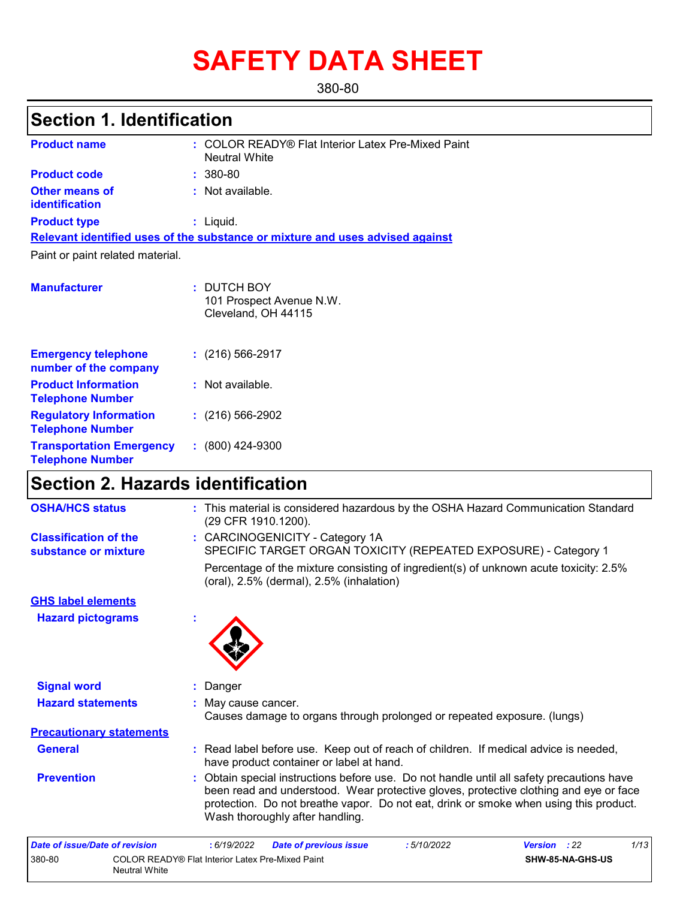# **SAFETY DATA SHEET**

380-80

# **Section 1. Identification**

| <b>Product name</b>                                      | : COLOR READY® Flat Interior Latex Pre-Mixed Paint<br><b>Neutral White</b>    |  |
|----------------------------------------------------------|-------------------------------------------------------------------------------|--|
| <b>Product code</b>                                      | $: 380 - 80$                                                                  |  |
| <b>Other means of</b><br>identification                  | : Not available.                                                              |  |
| <b>Product type</b>                                      | $:$ Liquid.                                                                   |  |
|                                                          | Relevant identified uses of the substance or mixture and uses advised against |  |
| Paint or paint related material.                         |                                                                               |  |
|                                                          |                                                                               |  |
| <b>Manufacturer</b>                                      | : DUTCH BOY<br>101 Prospect Avenue N.W.<br>Cleveland, OH 44115                |  |
| <b>Emergency telephone</b><br>number of the company      | $: (216) 566 - 2917$                                                          |  |
| <b>Product Information</b><br><b>Telephone Number</b>    | : Not available.                                                              |  |
| <b>Regulatory Information</b><br><b>Telephone Number</b> | $: (216) 566 - 2902$                                                          |  |
| <b>Transportation Emergency</b>                          | (800) 424-9300                                                                |  |

### **Section 2. Hazards identification**

**Telephone Number**

| <b>OSHA/HCS status</b>                               | : This material is considered hazardous by the OSHA Hazard Communication Standard<br>(29 CFR 1910.1200).                                                                                                                                                                                                     |
|------------------------------------------------------|--------------------------------------------------------------------------------------------------------------------------------------------------------------------------------------------------------------------------------------------------------------------------------------------------------------|
| <b>Classification of the</b><br>substance or mixture | : CARCINOGENICITY - Category 1A<br>SPECIFIC TARGET ORGAN TOXICITY (REPEATED EXPOSURE) - Category 1                                                                                                                                                                                                           |
|                                                      | Percentage of the mixture consisting of ingredient(s) of unknown acute toxicity: 2.5%<br>(oral), 2.5% (dermal), 2.5% (inhalation)                                                                                                                                                                            |
| <b>GHS label elements</b>                            |                                                                                                                                                                                                                                                                                                              |
| <b>Hazard pictograms</b>                             |                                                                                                                                                                                                                                                                                                              |
| <b>Signal word</b>                                   | : Danger                                                                                                                                                                                                                                                                                                     |
| <b>Hazard statements</b>                             | May cause cancer.<br>Causes damage to organs through prolonged or repeated exposure. (lungs)                                                                                                                                                                                                                 |
| <b>Precautionary statements</b>                      |                                                                                                                                                                                                                                                                                                              |
| <b>General</b>                                       | : Read label before use. Keep out of reach of children. If medical advice is needed,<br>have product container or label at hand.                                                                                                                                                                             |
| <b>Prevention</b>                                    | Obtain special instructions before use. Do not handle until all safety precautions have<br>been read and understood. Wear protective gloves, protective clothing and eye or face<br>protection. Do not breathe vapor. Do not eat, drink or smoke when using this product.<br>Wash thoroughly after handling. |
| Date of issue/Date of revision                       | 1/13<br>: 6/19/2022<br>: 5/10/2022<br>: 22<br><b>Date of previous issue</b><br><b>Version</b>                                                                                                                                                                                                                |

| Date of issue/Date of revision |                                                                   | : 6/19/2022 | <b>Date of previous issue</b> | : 5/10/2022 | <b>Version</b> : 22 |                         | 1/13 |
|--------------------------------|-------------------------------------------------------------------|-------------|-------------------------------|-------------|---------------------|-------------------------|------|
| 380-80                         | COLOR READY® Flat Interior Latex Pre-Mixed Paint<br>Neutral White |             |                               |             |                     | <b>SHW-85-NA-GHS-US</b> |      |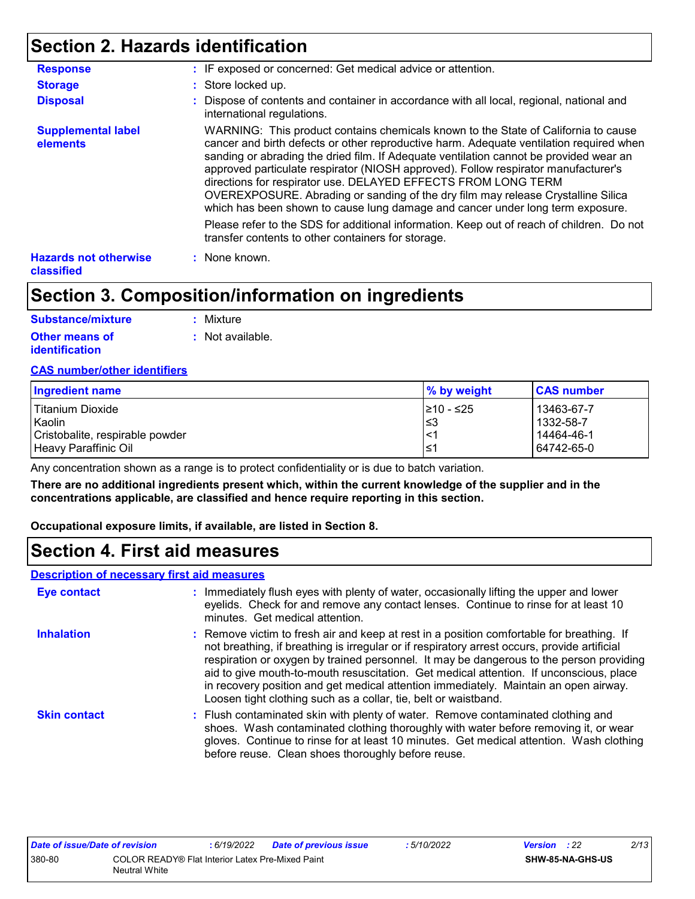### **Section 2. Hazards identification**

| <b>Response</b>                            | : IF exposed or concerned: Get medical advice or attention.                                                                                                                                                                                                                                                                                                                                                                                                                                                                                                                                          |
|--------------------------------------------|------------------------------------------------------------------------------------------------------------------------------------------------------------------------------------------------------------------------------------------------------------------------------------------------------------------------------------------------------------------------------------------------------------------------------------------------------------------------------------------------------------------------------------------------------------------------------------------------------|
| <b>Storage</b>                             | : Store locked up.                                                                                                                                                                                                                                                                                                                                                                                                                                                                                                                                                                                   |
| <b>Disposal</b>                            | : Dispose of contents and container in accordance with all local, regional, national and<br>international regulations.                                                                                                                                                                                                                                                                                                                                                                                                                                                                               |
| <b>Supplemental label</b><br>elements      | WARNING: This product contains chemicals known to the State of California to cause<br>cancer and birth defects or other reproductive harm. Adequate ventilation required when<br>sanding or abrading the dried film. If Adequate ventilation cannot be provided wear an<br>approved particulate respirator (NIOSH approved). Follow respirator manufacturer's<br>directions for respirator use. DELAYED EFFECTS FROM LONG TERM<br>OVEREXPOSURE. Abrading or sanding of the dry film may release Crystalline Silica<br>which has been shown to cause lung damage and cancer under long term exposure. |
|                                            | Please refer to the SDS for additional information. Keep out of reach of children. Do not<br>transfer contents to other containers for storage.                                                                                                                                                                                                                                                                                                                                                                                                                                                      |
| <b>Hazards not otherwise</b><br>classified | : None known.                                                                                                                                                                                                                                                                                                                                                                                                                                                                                                                                                                                        |

### **Section 3. Composition/information on ingredients**

| <b>Substance/mixture</b> | : Mixture                   |
|--------------------------|-----------------------------|
| <b>Other means of</b>    | $\therefore$ Not available. |
| identification           |                             |

#### **CAS number/other identifiers**

| Ingredient name                 | $\%$ by weight | <b>CAS number</b> |
|---------------------------------|----------------|-------------------|
| Titanium Dioxide                | 1≥10 - ≤25     | 13463-67-7        |
| Kaolin                          | l≤3            | 1332-58-7         |
| Cristobalite, respirable powder | $\prec$        | 14464-46-1        |
| Heavy Paraffinic Oil            | '≥             | 64742-65-0        |

Any concentration shown as a range is to protect confidentiality or is due to batch variation.

**There are no additional ingredients present which, within the current knowledge of the supplier and in the concentrations applicable, are classified and hence require reporting in this section.**

**Occupational exposure limits, if available, are listed in Section 8.**

### **Section 4. First aid measures**

#### **Description of necessary first aid measures**

| <b>Eye contact</b>  | : Immediately flush eyes with plenty of water, occasionally lifting the upper and lower<br>eyelids. Check for and remove any contact lenses. Continue to rinse for at least 10<br>minutes. Get medical attention.                                                                                                                                                                                                                                                                                                                         |
|---------------------|-------------------------------------------------------------------------------------------------------------------------------------------------------------------------------------------------------------------------------------------------------------------------------------------------------------------------------------------------------------------------------------------------------------------------------------------------------------------------------------------------------------------------------------------|
| <b>Inhalation</b>   | : Remove victim to fresh air and keep at rest in a position comfortable for breathing. If<br>not breathing, if breathing is irregular or if respiratory arrest occurs, provide artificial<br>respiration or oxygen by trained personnel. It may be dangerous to the person providing<br>aid to give mouth-to-mouth resuscitation. Get medical attention. If unconscious, place<br>in recovery position and get medical attention immediately. Maintain an open airway.<br>Loosen tight clothing such as a collar, tie, belt or waistband. |
| <b>Skin contact</b> | : Flush contaminated skin with plenty of water. Remove contaminated clothing and<br>shoes. Wash contaminated clothing thoroughly with water before removing it, or wear<br>gloves. Continue to rinse for at least 10 minutes. Get medical attention. Wash clothing<br>before reuse. Clean shoes thoroughly before reuse.                                                                                                                                                                                                                  |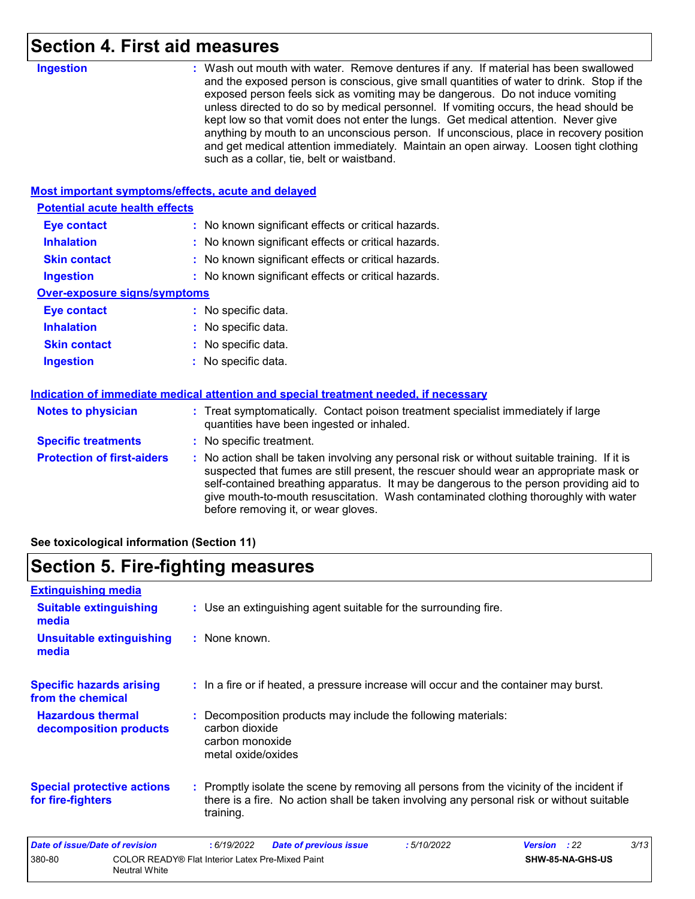### **Section 4. First aid measures**

| <b>Ingestion</b>                                   | : Wash out mouth with water. Remove dentures if any. If material has been swallowed<br>and the exposed person is conscious, give small quantities of water to drink. Stop if the<br>exposed person feels sick as vomiting may be dangerous. Do not induce vomiting<br>unless directed to do so by medical personnel. If vomiting occurs, the head should be<br>kept low so that vomit does not enter the lungs. Get medical attention. Never give<br>anything by mouth to an unconscious person. If unconscious, place in recovery position<br>and get medical attention immediately. Maintain an open airway. Loosen tight clothing<br>such as a collar, tie, belt or waistband. |
|----------------------------------------------------|-----------------------------------------------------------------------------------------------------------------------------------------------------------------------------------------------------------------------------------------------------------------------------------------------------------------------------------------------------------------------------------------------------------------------------------------------------------------------------------------------------------------------------------------------------------------------------------------------------------------------------------------------------------------------------------|
| Most important symptoms/effects, acute and delayed |                                                                                                                                                                                                                                                                                                                                                                                                                                                                                                                                                                                                                                                                                   |
| <b>Potential acute health effects</b>              |                                                                                                                                                                                                                                                                                                                                                                                                                                                                                                                                                                                                                                                                                   |
| <b>Eye contact</b>                                 | : No known significant effects or critical hazards.                                                                                                                                                                                                                                                                                                                                                                                                                                                                                                                                                                                                                               |
| <b>Inhalation</b>                                  | : No known significant effects or critical hazards.                                                                                                                                                                                                                                                                                                                                                                                                                                                                                                                                                                                                                               |
| <b>Skin contact</b>                                | : No known significant effects or critical hazards.                                                                                                                                                                                                                                                                                                                                                                                                                                                                                                                                                                                                                               |
| <b>Ingestion</b>                                   | : No known significant effects or critical hazards.                                                                                                                                                                                                                                                                                                                                                                                                                                                                                                                                                                                                                               |
| <b>Over-exposure signs/symptoms</b>                |                                                                                                                                                                                                                                                                                                                                                                                                                                                                                                                                                                                                                                                                                   |
| <b>Eye contact</b>                                 | : No specific data.                                                                                                                                                                                                                                                                                                                                                                                                                                                                                                                                                                                                                                                               |
| <b>Inhalation</b>                                  | : No specific data.                                                                                                                                                                                                                                                                                                                                                                                                                                                                                                                                                                                                                                                               |
| <b>Skin contact</b>                                | No specific data.                                                                                                                                                                                                                                                                                                                                                                                                                                                                                                                                                                                                                                                                 |
| <b>Ingestion</b>                                   | No specific data.                                                                                                                                                                                                                                                                                                                                                                                                                                                                                                                                                                                                                                                                 |
|                                                    | Indication of immediate medical attention and special treatment needed, if necessary                                                                                                                                                                                                                                                                                                                                                                                                                                                                                                                                                                                              |
| <b>Notes to physician</b>                          | : Treat symptomatically. Contact poison treatment specialist immediately if large<br>quantities have been ingested or inhaled.                                                                                                                                                                                                                                                                                                                                                                                                                                                                                                                                                    |
| <b>Specific treatments</b>                         | : No specific treatment.                                                                                                                                                                                                                                                                                                                                                                                                                                                                                                                                                                                                                                                          |
| <b>Protection of first-aiders</b>                  | : No action shall be taken involving any personal risk or without suitable training. If it is<br>suspected that fumes are still present, the rescuer should wear an appropriate mask or<br>self-contained breathing apparatus. It may be dangerous to the person providing aid to<br>give mouth-to-mouth resuscitation. Wash contaminated clothing thoroughly with water<br>before removing it, or wear gloves.                                                                                                                                                                                                                                                                   |

**See toxicological information (Section 11)**

# **Section 5. Fire-fighting measures**

| <b>Extinguishing media</b>                             |                                                                   |                                                         |                                                                                                                                                                                        |            |                     |      |
|--------------------------------------------------------|-------------------------------------------------------------------|---------------------------------------------------------|----------------------------------------------------------------------------------------------------------------------------------------------------------------------------------------|------------|---------------------|------|
| <b>Suitable extinguishing</b><br>media                 |                                                                   |                                                         | : Use an extinguishing agent suitable for the surrounding fire.                                                                                                                        |            |                     |      |
| <b>Unsuitable extinguishing</b><br>media               |                                                                   | : None known.                                           |                                                                                                                                                                                        |            |                     |      |
| <b>Specific hazards arising</b><br>from the chemical   |                                                                   |                                                         | : In a fire or if heated, a pressure increase will occur and the container may burst.                                                                                                  |            |                     |      |
| <b>Hazardous thermal</b><br>decomposition products     |                                                                   | carbon dioxide<br>carbon monoxide<br>metal oxide/oxides | : Decomposition products may include the following materials:                                                                                                                          |            |                     |      |
| <b>Special protective actions</b><br>for fire-fighters |                                                                   | training.                                               | : Promptly isolate the scene by removing all persons from the vicinity of the incident if<br>there is a fire. No action shall be taken involving any personal risk or without suitable |            |                     |      |
| Date of issue/Date of revision                         |                                                                   | : 6/19/2022                                             | <b>Date of previous issue</b>                                                                                                                                                          | :5/10/2022 | <b>Version</b> : 22 | 3/13 |
| 380-80                                                 | COLOR READY® Flat Interior Latex Pre-Mixed Paint<br>Neutral White |                                                         |                                                                                                                                                                                        |            | SHW-85-NA-GHS-US    |      |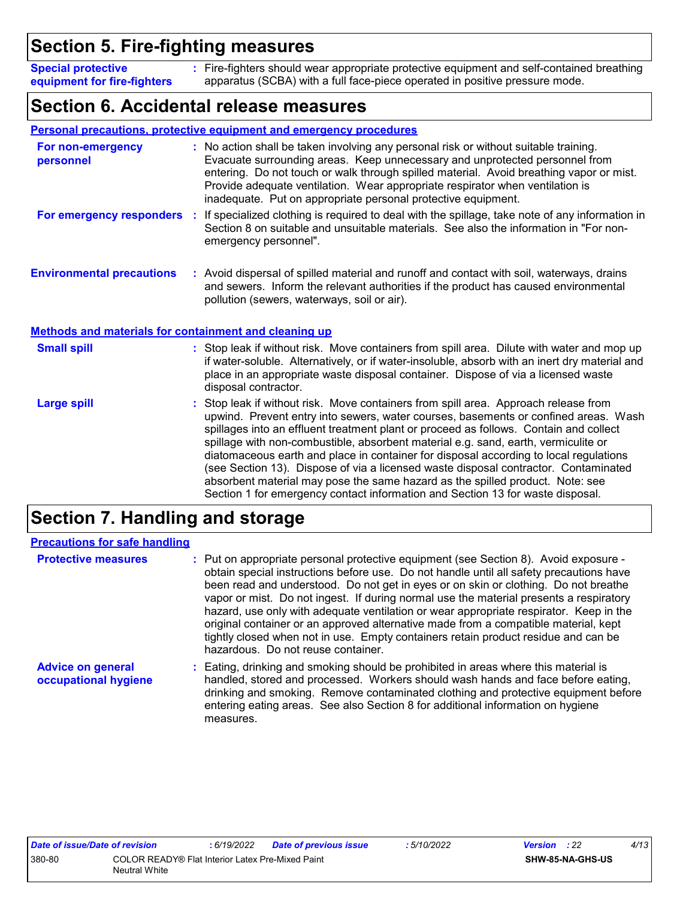### **Section 5. Fire-fighting measures**

Fire-fighters should wear appropriate protective equipment and self-contained breathing **:** apparatus (SCBA) with a full face-piece operated in positive pressure mode. **Special protective equipment for fire-fighters**

### **Section 6. Accidental release measures**

|                                                              | Personal precautions, protective equipment and emergency procedures                                                                                                                                                                                                                                                                                                                                                                                                                                                                                                                                                                                                                                        |
|--------------------------------------------------------------|------------------------------------------------------------------------------------------------------------------------------------------------------------------------------------------------------------------------------------------------------------------------------------------------------------------------------------------------------------------------------------------------------------------------------------------------------------------------------------------------------------------------------------------------------------------------------------------------------------------------------------------------------------------------------------------------------------|
| For non-emergency<br>personnel                               | : No action shall be taken involving any personal risk or without suitable training.<br>Evacuate surrounding areas. Keep unnecessary and unprotected personnel from<br>entering. Do not touch or walk through spilled material. Avoid breathing vapor or mist.<br>Provide adequate ventilation. Wear appropriate respirator when ventilation is<br>inadequate. Put on appropriate personal protective equipment.                                                                                                                                                                                                                                                                                           |
| For emergency responders                                     | If specialized clothing is required to deal with the spillage, take note of any information in<br>÷.<br>Section 8 on suitable and unsuitable materials. See also the information in "For non-<br>emergency personnel".                                                                                                                                                                                                                                                                                                                                                                                                                                                                                     |
| <b>Environmental precautions</b>                             | : Avoid dispersal of spilled material and runoff and contact with soil, waterways, drains<br>and sewers. Inform the relevant authorities if the product has caused environmental<br>pollution (sewers, waterways, soil or air).                                                                                                                                                                                                                                                                                                                                                                                                                                                                            |
| <b>Methods and materials for containment and cleaning up</b> |                                                                                                                                                                                                                                                                                                                                                                                                                                                                                                                                                                                                                                                                                                            |
| <b>Small spill</b>                                           | : Stop leak if without risk. Move containers from spill area. Dilute with water and mop up<br>if water-soluble. Alternatively, or if water-insoluble, absorb with an inert dry material and<br>place in an appropriate waste disposal container. Dispose of via a licensed waste<br>disposal contractor.                                                                                                                                                                                                                                                                                                                                                                                                   |
| <b>Large spill</b>                                           | Stop leak if without risk. Move containers from spill area. Approach release from<br>upwind. Prevent entry into sewers, water courses, basements or confined areas. Wash<br>spillages into an effluent treatment plant or proceed as follows. Contain and collect<br>spillage with non-combustible, absorbent material e.g. sand, earth, vermiculite or<br>diatomaceous earth and place in container for disposal according to local regulations<br>(see Section 13). Dispose of via a licensed waste disposal contractor. Contaminated<br>absorbent material may pose the same hazard as the spilled product. Note: see<br>Section 1 for emergency contact information and Section 13 for waste disposal. |

### **Section 7. Handling and storage**

| <b>Precautions for safe handling</b>             |                                                                                                                                                                                                                                                                                                                                                                                                                                                                                                                                                                                                                                                                               |
|--------------------------------------------------|-------------------------------------------------------------------------------------------------------------------------------------------------------------------------------------------------------------------------------------------------------------------------------------------------------------------------------------------------------------------------------------------------------------------------------------------------------------------------------------------------------------------------------------------------------------------------------------------------------------------------------------------------------------------------------|
| <b>Protective measures</b>                       | : Put on appropriate personal protective equipment (see Section 8). Avoid exposure -<br>obtain special instructions before use. Do not handle until all safety precautions have<br>been read and understood. Do not get in eyes or on skin or clothing. Do not breathe<br>vapor or mist. Do not ingest. If during normal use the material presents a respiratory<br>hazard, use only with adequate ventilation or wear appropriate respirator. Keep in the<br>original container or an approved alternative made from a compatible material, kept<br>tightly closed when not in use. Empty containers retain product residue and can be<br>hazardous. Do not reuse container. |
| <b>Advice on general</b><br>occupational hygiene | : Eating, drinking and smoking should be prohibited in areas where this material is<br>handled, stored and processed. Workers should wash hands and face before eating,<br>drinking and smoking. Remove contaminated clothing and protective equipment before<br>entering eating areas. See also Section 8 for additional information on hygiene<br>measures.                                                                                                                                                                                                                                                                                                                 |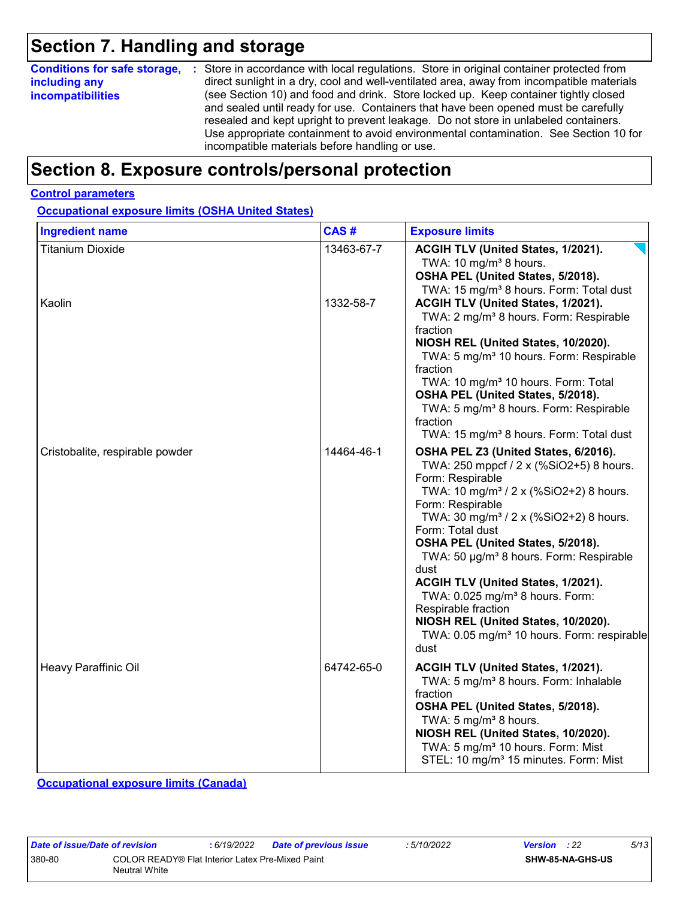### **Section 7. Handling and storage**

| <b>Conditions for safe storage,</b> | : Store in accordance with local regulations. Store in original container protected from                                                                                                                                                                                                                                                                                                                   |
|-------------------------------------|------------------------------------------------------------------------------------------------------------------------------------------------------------------------------------------------------------------------------------------------------------------------------------------------------------------------------------------------------------------------------------------------------------|
| including any                       | direct sunlight in a dry, cool and well-ventilated area, away from incompatible materials                                                                                                                                                                                                                                                                                                                  |
| <b>incompatibilities</b>            | (see Section 10) and food and drink. Store locked up. Keep container tightly closed<br>and sealed until ready for use. Containers that have been opened must be carefully<br>resealed and kept upright to prevent leakage. Do not store in unlabeled containers.<br>Use appropriate containment to avoid environmental contamination. See Section 10 for<br>incompatible materials before handling or use. |

### **Section 8. Exposure controls/personal protection**

#### **Control parameters**

**Occupational exposure limits (OSHA United States)**

| <b>Ingredient name</b>          | CAS#       | <b>Exposure limits</b>                                                                                                                                                                                                                                                                                                                                                                                                                                                                                                                                                           |
|---------------------------------|------------|----------------------------------------------------------------------------------------------------------------------------------------------------------------------------------------------------------------------------------------------------------------------------------------------------------------------------------------------------------------------------------------------------------------------------------------------------------------------------------------------------------------------------------------------------------------------------------|
| <b>Titanium Dioxide</b>         | 13463-67-7 | ACGIH TLV (United States, 1/2021).<br>TWA: 10 mg/m <sup>3</sup> 8 hours.<br>OSHA PEL (United States, 5/2018).<br>TWA: 15 mg/m <sup>3</sup> 8 hours. Form: Total dust                                                                                                                                                                                                                                                                                                                                                                                                             |
| Kaolin                          | 1332-58-7  | ACGIH TLV (United States, 1/2021).<br>TWA: 2 mg/m <sup>3</sup> 8 hours. Form: Respirable<br>fraction<br>NIOSH REL (United States, 10/2020).<br>TWA: 5 mg/m <sup>3</sup> 10 hours. Form: Respirable<br>fraction<br>TWA: 10 mg/m <sup>3</sup> 10 hours. Form: Total<br>OSHA PEL (United States, 5/2018).<br>TWA: 5 mg/m <sup>3</sup> 8 hours. Form: Respirable<br>fraction<br>TWA: 15 mg/m <sup>3</sup> 8 hours. Form: Total dust                                                                                                                                                  |
| Cristobalite, respirable powder | 14464-46-1 | OSHA PEL Z3 (United States, 6/2016).<br>TWA: 250 mppcf / 2 x (%SiO2+5) 8 hours.<br>Form: Respirable<br>TWA: 10 mg/m <sup>3</sup> / 2 x (%SiO2+2) 8 hours.<br>Form: Respirable<br>TWA: 30 mg/m <sup>3</sup> / 2 x (%SiO2+2) 8 hours.<br>Form: Total dust<br>OSHA PEL (United States, 5/2018).<br>TWA: 50 µg/m <sup>3</sup> 8 hours. Form: Respirable<br>dust<br>ACGIH TLV (United States, 1/2021).<br>TWA: 0.025 mg/m <sup>3</sup> 8 hours. Form:<br>Respirable fraction<br>NIOSH REL (United States, 10/2020).<br>TWA: 0.05 mg/m <sup>3</sup> 10 hours. Form: respirable<br>dust |
| Heavy Paraffinic Oil            | 64742-65-0 | ACGIH TLV (United States, 1/2021).<br>TWA: 5 mg/m <sup>3</sup> 8 hours. Form: Inhalable<br>fraction<br>OSHA PEL (United States, 5/2018).<br>TWA: 5 mg/m <sup>3</sup> 8 hours.<br>NIOSH REL (United States, 10/2020).<br>TWA: 5 mg/m <sup>3</sup> 10 hours. Form: Mist<br>STEL: 10 mg/m <sup>3</sup> 15 minutes. Form: Mist                                                                                                                                                                                                                                                       |

**Occupational exposure limits (Canada)**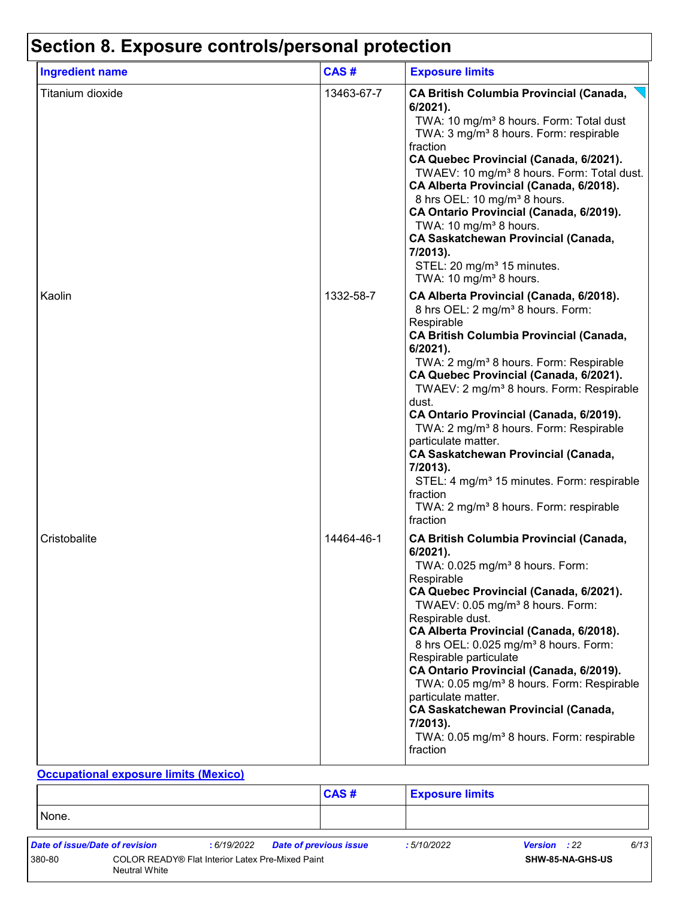| <b>Ingredient name</b> | CAS#       | <b>Exposure limits</b>                                                                                                                                                                                                                                                                                                                                                                                                                                                                                                                                                                                                                                             |
|------------------------|------------|--------------------------------------------------------------------------------------------------------------------------------------------------------------------------------------------------------------------------------------------------------------------------------------------------------------------------------------------------------------------------------------------------------------------------------------------------------------------------------------------------------------------------------------------------------------------------------------------------------------------------------------------------------------------|
| Titanium dioxide       | 13463-67-7 | <b>CA British Columbia Provincial (Canada,</b><br>6/2021).<br>TWA: 10 mg/m <sup>3</sup> 8 hours. Form: Total dust<br>TWA: 3 mg/m <sup>3</sup> 8 hours. Form: respirable<br>fraction<br>CA Quebec Provincial (Canada, 6/2021).<br>TWAEV: 10 mg/m <sup>3</sup> 8 hours. Form: Total dust.<br>CA Alberta Provincial (Canada, 6/2018).<br>8 hrs OEL: 10 mg/m <sup>3</sup> 8 hours.<br>CA Ontario Provincial (Canada, 6/2019).<br>TWA: 10 mg/m <sup>3</sup> 8 hours.<br><b>CA Saskatchewan Provincial (Canada,</b><br>7/2013).<br>STEL: 20 mg/m <sup>3</sup> 15 minutes.<br>TWA: 10 mg/m <sup>3</sup> 8 hours.                                                          |
| Kaolin                 | 1332-58-7  | CA Alberta Provincial (Canada, 6/2018).<br>8 hrs OEL: 2 mg/m <sup>3</sup> 8 hours. Form:<br>Respirable<br><b>CA British Columbia Provincial (Canada,</b><br>$6/2021$ ).<br>TWA: 2 mg/m <sup>3</sup> 8 hours. Form: Respirable<br>CA Quebec Provincial (Canada, 6/2021).<br>TWAEV: 2 mg/m <sup>3</sup> 8 hours. Form: Respirable<br>dust.<br>CA Ontario Provincial (Canada, 6/2019).<br>TWA: 2 mg/m <sup>3</sup> 8 hours. Form: Respirable<br>particulate matter.<br><b>CA Saskatchewan Provincial (Canada,</b><br>7/2013).<br>STEL: 4 mg/m <sup>3</sup> 15 minutes. Form: respirable<br>fraction<br>TWA: 2 mg/m <sup>3</sup> 8 hours. Form: respirable<br>fraction |
| Cristobalite           | 14464-46-1 | <b>CA British Columbia Provincial (Canada,</b><br>$6/2021$ ).<br>TWA: 0.025 mg/m <sup>3</sup> 8 hours. Form:<br>Respirable<br>CA Quebec Provincial (Canada, 6/2021).<br>TWAEV: 0.05 mg/m <sup>3</sup> 8 hours. Form:<br>Respirable dust.<br>CA Alberta Provincial (Canada, 6/2018).<br>8 hrs OEL: 0.025 mg/m <sup>3</sup> 8 hours. Form:<br>Respirable particulate<br>CA Ontario Provincial (Canada, 6/2019).<br>TWA: 0.05 mg/m <sup>3</sup> 8 hours. Form: Respirable<br>particulate matter.<br><b>CA Saskatchewan Provincial (Canada,</b><br>7/2013).<br>TWA: 0.05 mg/m <sup>3</sup> 8 hours. Form: respirable<br>fraction                                       |

#### **Occupational exposure limits (Mexico)**

|        |                                |                                                         | <b>CAS#</b>            | <b>Exposure limits</b> |                     |      |
|--------|--------------------------------|---------------------------------------------------------|------------------------|------------------------|---------------------|------|
| None.  |                                |                                                         |                        |                        |                     |      |
|        | Date of issue/Date of revision | : 6/19/2022                                             | Date of previous issue | :5/10/2022             | <b>Version</b> : 22 | 6/13 |
| 380-80 | <b>Neutral White</b>           | <b>COLOR READY® Flat Interior Latex Pre-Mixed Paint</b> |                        |                        | SHW-85-NA-GHS-US    |      |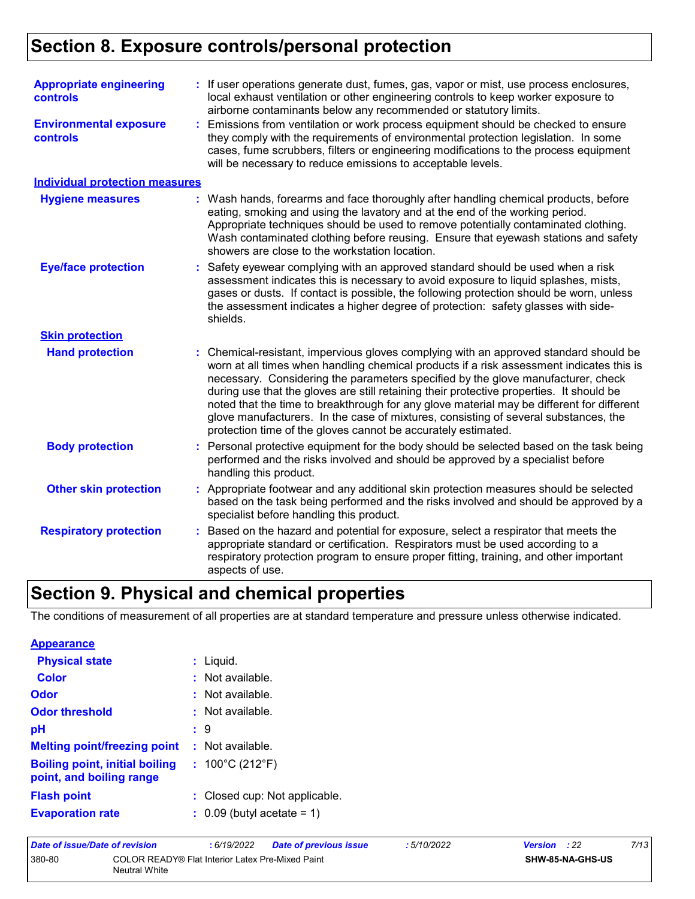### **Section 8. Exposure controls/personal protection**

| <b>Appropriate engineering</b><br><b>controls</b> |    | : If user operations generate dust, fumes, gas, vapor or mist, use process enclosures,<br>local exhaust ventilation or other engineering controls to keep worker exposure to<br>airborne contaminants below any recommended or statutory limits.                                                                                                                                                                                                                                                                                                                                                                     |  |  |  |
|---------------------------------------------------|----|----------------------------------------------------------------------------------------------------------------------------------------------------------------------------------------------------------------------------------------------------------------------------------------------------------------------------------------------------------------------------------------------------------------------------------------------------------------------------------------------------------------------------------------------------------------------------------------------------------------------|--|--|--|
| <b>Environmental exposure</b><br><b>controls</b>  | ÷. | Emissions from ventilation or work process equipment should be checked to ensure<br>they comply with the requirements of environmental protection legislation. In some<br>cases, fume scrubbers, filters or engineering modifications to the process equipment<br>will be necessary to reduce emissions to acceptable levels.                                                                                                                                                                                                                                                                                        |  |  |  |
| <b>Individual protection measures</b>             |    |                                                                                                                                                                                                                                                                                                                                                                                                                                                                                                                                                                                                                      |  |  |  |
| <b>Hygiene measures</b>                           |    | : Wash hands, forearms and face thoroughly after handling chemical products, before<br>eating, smoking and using the lavatory and at the end of the working period.<br>Appropriate techniques should be used to remove potentially contaminated clothing.<br>Wash contaminated clothing before reusing. Ensure that eyewash stations and safety<br>showers are close to the workstation location.                                                                                                                                                                                                                    |  |  |  |
| <b>Eye/face protection</b>                        | ÷. | Safety eyewear complying with an approved standard should be used when a risk<br>assessment indicates this is necessary to avoid exposure to liquid splashes, mists,<br>gases or dusts. If contact is possible, the following protection should be worn, unless<br>the assessment indicates a higher degree of protection: safety glasses with side-<br>shields.                                                                                                                                                                                                                                                     |  |  |  |
| <b>Skin protection</b>                            |    |                                                                                                                                                                                                                                                                                                                                                                                                                                                                                                                                                                                                                      |  |  |  |
| <b>Hand protection</b>                            |    | Chemical-resistant, impervious gloves complying with an approved standard should be<br>worn at all times when handling chemical products if a risk assessment indicates this is<br>necessary. Considering the parameters specified by the glove manufacturer, check<br>during use that the gloves are still retaining their protective properties. It should be<br>noted that the time to breakthrough for any glove material may be different for different<br>glove manufacturers. In the case of mixtures, consisting of several substances, the<br>protection time of the gloves cannot be accurately estimated. |  |  |  |
| <b>Body protection</b>                            |    | Personal protective equipment for the body should be selected based on the task being<br>performed and the risks involved and should be approved by a specialist before<br>handling this product.                                                                                                                                                                                                                                                                                                                                                                                                                    |  |  |  |
| <b>Other skin protection</b>                      |    | Appropriate footwear and any additional skin protection measures should be selected<br>based on the task being performed and the risks involved and should be approved by a<br>specialist before handling this product.                                                                                                                                                                                                                                                                                                                                                                                              |  |  |  |
| <b>Respiratory protection</b>                     |    | Based on the hazard and potential for exposure, select a respirator that meets the<br>appropriate standard or certification. Respirators must be used according to a<br>respiratory protection program to ensure proper fitting, training, and other important<br>aspects of use.                                                                                                                                                                                                                                                                                                                                    |  |  |  |

# **Section 9. Physical and chemical properties**

The conditions of measurement of all properties are at standard temperature and pressure unless otherwise indicated.

| <b>Appearance</b>                                                 |   |                                       |
|-------------------------------------------------------------------|---|---------------------------------------|
| <b>Physical state</b>                                             |   | : Liquid.                             |
| Color                                                             |   | $:$ Not available.                    |
| Odor                                                              |   | : Not available.                      |
| <b>Odor threshold</b>                                             | ٠ | . Not available.                      |
| pH                                                                |   | : 9                                   |
| <b>Melting point/freezing point</b>                               |   | $\therefore$ Not available.           |
| <b>Boiling point, initial boiling</b><br>point, and boiling range |   | : $100^{\circ}$ C (212 $^{\circ}$ F)  |
| <b>Flash point</b>                                                |   | : Closed cup: Not applicable.         |
| <b>Evaporation rate</b>                                           |   | $\therefore$ 0.09 (butyl acetate = 1) |
|                                                                   |   |                                       |

| Date of issue/Date of revision |                                                                          | 6/19/2022 | <b>Date of previous issue</b> | : 5/10/2022 | <b>Version</b> : 22 |                         | 7/13 |
|--------------------------------|--------------------------------------------------------------------------|-----------|-------------------------------|-------------|---------------------|-------------------------|------|
| 380-80                         | COLOR READY® Flat Interior Latex Pre-Mixed Paint<br><b>Neutral White</b> |           |                               |             |                     | <b>SHW-85-NA-GHS-US</b> |      |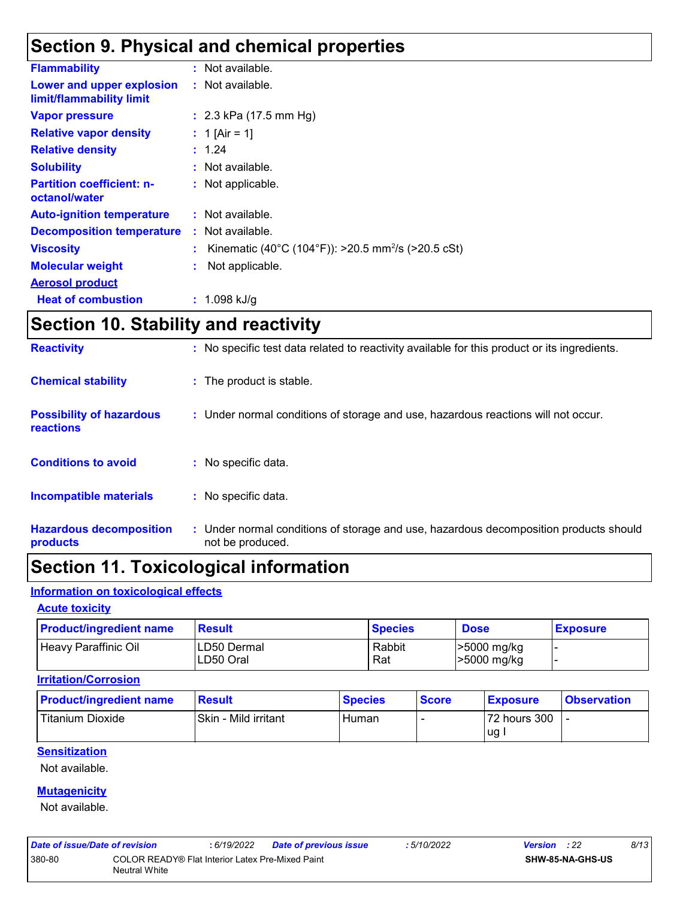### **Section 9. Physical and chemical properties**

| <b>Flammability</b>                                   | : Not available.                                                 |
|-------------------------------------------------------|------------------------------------------------------------------|
| Lower and upper explosion<br>limit/flammability limit | : Not available.                                                 |
| <b>Vapor pressure</b>                                 | : $2.3$ kPa (17.5 mm Hg)                                         |
| <b>Relative vapor density</b>                         | : 1 [Air = 1]                                                    |
| <b>Relative density</b>                               | : 1.24                                                           |
| <b>Solubility</b>                                     | : Not available.                                                 |
| <b>Partition coefficient: n-</b><br>octanol/water     | : Not applicable.                                                |
| <b>Auto-ignition temperature</b>                      | : Not available.                                                 |
| <b>Decomposition temperature</b>                      | : Not available.                                                 |
| <b>Viscosity</b>                                      | : Kinematic (40°C (104°F)): >20.5 mm <sup>2</sup> /s (>20.5 cSt) |
| <b>Molecular weight</b>                               | Not applicable.                                                  |
| <b>Aerosol product</b>                                |                                                                  |
| <b>Heat of combustion</b>                             | : $1.098$ kJ/g                                                   |

### **Section 10. Stability and reactivity**

| <b>Hazardous decomposition</b><br>products          | : Under normal conditions of storage and use, hazardous decomposition products should<br>not be produced. |
|-----------------------------------------------------|-----------------------------------------------------------------------------------------------------------|
| <b>Incompatible materials</b>                       | : No specific data.                                                                                       |
| <b>Conditions to avoid</b>                          | No specific data.                                                                                         |
| <b>Possibility of hazardous</b><br><b>reactions</b> | : Under normal conditions of storage and use, hazardous reactions will not occur.                         |
| <b>Chemical stability</b>                           | : The product is stable.                                                                                  |
| <b>Reactivity</b>                                   | : No specific test data related to reactivity available for this product or its ingredients.              |

## **Section 11. Toxicological information**

### **Information on toxicological effects**

#### **Acute toxicity**

| <b>Product/ingredient name</b> | <b>Result</b>             | <b>Species</b> | <b>Dose</b>                | <b>Exposure</b> |
|--------------------------------|---------------------------|----------------|----------------------------|-----------------|
| <b>Heavy Paraffinic Oil</b>    | ILD50 Dermal<br>LD50 Oral | Rabbit<br>Rat  | >5000 mg/kg<br>>5000 mg/kg |                 |

#### **Irritation/Corrosion**

| <b>Product/ingredient name</b> | <b>Result</b>        | <b>Species</b> | <b>Score</b> | <b>Exposure</b> | <b>Observation</b> |
|--------------------------------|----------------------|----------------|--------------|-----------------|--------------------|
| Titanium Dioxide               | Skin - Mild irritant | Human          |              | 72 hours 300    |                    |
|                                |                      |                |              | <b>ug</b>       |                    |

#### **Sensitization**

Not available.

#### **Mutagenicity**

Not available.

| Date of issue/Date of revision |                                                                   | : 6/19/2022 | <b>Date of previous issue</b> | :5/10/2022 | : 22<br>Version         | 8/13 |
|--------------------------------|-------------------------------------------------------------------|-------------|-------------------------------|------------|-------------------------|------|
| 380-80                         | COLOR READY® Flat Interior Latex Pre-Mixed Paint<br>Neutral White |             |                               |            | <b>SHW-85-NA-GHS-US</b> |      |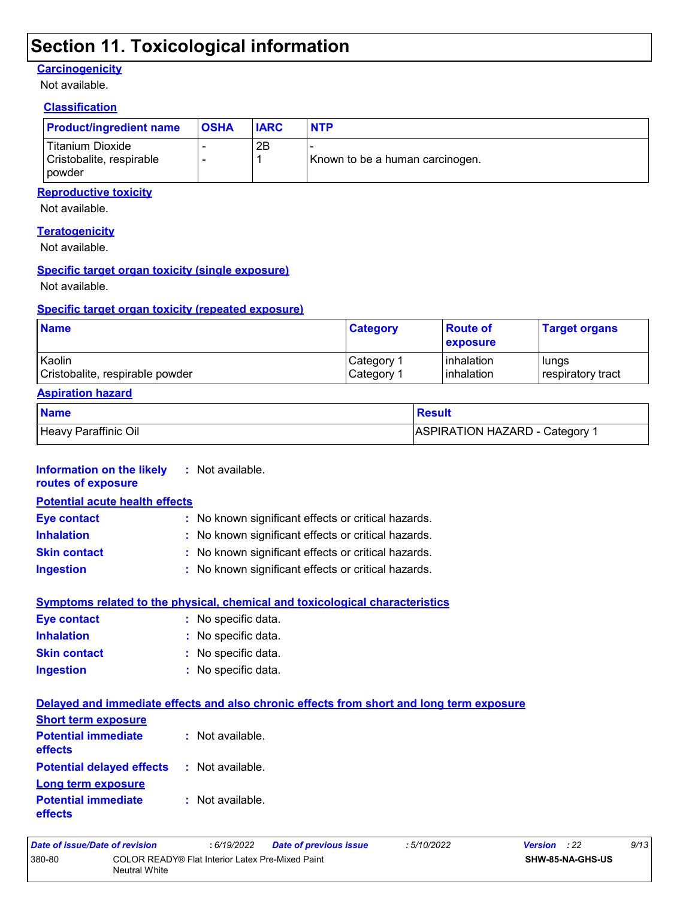### **Section 11. Toxicological information**

#### **Carcinogenicity**

Not available.

### **Classification**

| <b>Product/ingredient name</b>                                | <b>OSHA</b> | <b>IARC</b> | <b>NTP</b>                      |
|---------------------------------------------------------------|-------------|-------------|---------------------------------|
| Titanium Dioxide<br>Cristobalite, respirable<br><b>powder</b> |             | 2Β          | Known to be a human carcinogen. |

#### **Reproductive toxicity**

Not available.

#### **Teratogenicity**

Not available.

#### **Specific target organ toxicity (single exposure)**

Not available.

#### **Specific target organ toxicity (repeated exposure)**

| <b>Name</b>                     | <b>Category</b>        | <b>Route of</b><br><b>Lexposure</b> | <b>Target organs</b> |
|---------------------------------|------------------------|-------------------------------------|----------------------|
| Kaolin                          | ⊩Category <sup>≁</sup> | linhalation                         | l lungs              |
| Cristobalite, respirable powder | Category 1             | <b>l</b> inhalation                 | respiratory tract    |

#### **Aspiration hazard**

| <b>Name</b>          | Result                                |
|----------------------|---------------------------------------|
| Heavy Paraffinic Oil | <b>ASPIRATION HAZARD - Category 1</b> |

| <b>Information on the likely</b> : Not available.   |
|-----------------------------------------------------|
| <b>Potential acute health effects</b>               |
| : No known significant effects or critical hazards. |
| : No known significant effects or critical hazards. |
| : No known significant effects or critical hazards. |
| : No known significant effects or critical hazards. |
|                                                     |

| Symptoms related to the physical, chemical and toxicological characteristics |                     |  |  |  |
|------------------------------------------------------------------------------|---------------------|--|--|--|
| <b>Eve contact</b>                                                           | : No specific data. |  |  |  |
| <b>Inhalation</b>                                                            | : No specific data. |  |  |  |
| <b>Skin contact</b>                                                          | : No specific data. |  |  |  |
| <b>Ingestion</b>                                                             | : No specific data. |  |  |  |

|                                                        | Delayed and immediate effects and also chronic effects from short and long term exposure |  |
|--------------------------------------------------------|------------------------------------------------------------------------------------------|--|
| <b>Short term exposure</b>                             |                                                                                          |  |
| <b>Potential immediate : Not available.</b><br>effects |                                                                                          |  |
| <b>Potential delayed effects : Not available.</b>      |                                                                                          |  |
| <b>Long term exposure</b>                              |                                                                                          |  |
| <b>Potential immediate : Not available.</b><br>effects |                                                                                          |  |

| Date of issue/Date of revision |                                                                   | : 6/19/2022 | <b>Date of previous issue</b> | : 5/10/2022 | <b>Version</b> : 22     |  | 9/13 |
|--------------------------------|-------------------------------------------------------------------|-------------|-------------------------------|-------------|-------------------------|--|------|
| 380-80                         | COLOR READY® Flat Interior Latex Pre-Mixed Paint<br>Neutral White |             |                               |             | <b>SHW-85-NA-GHS-US</b> |  |      |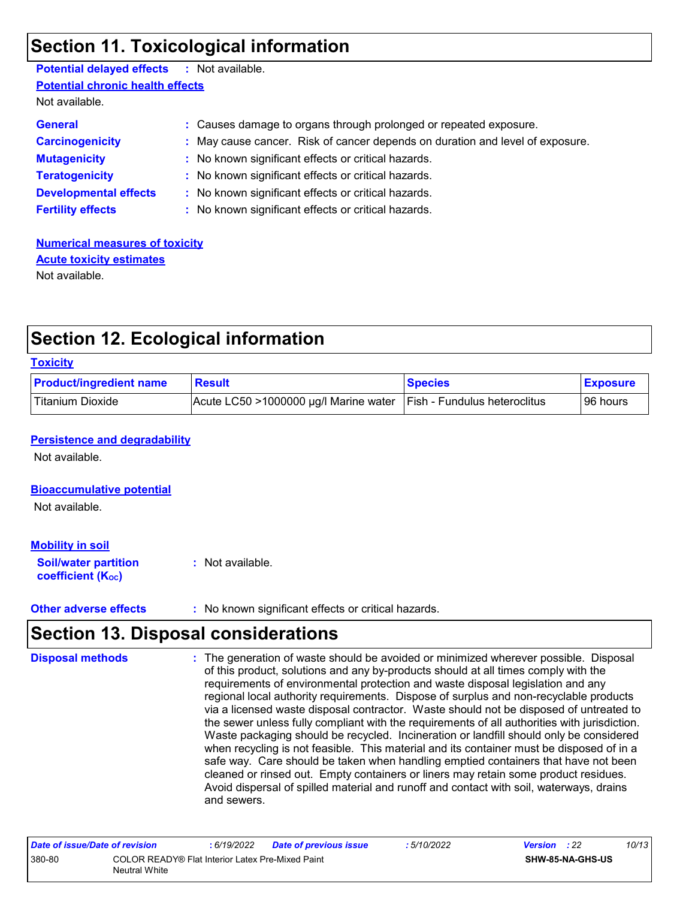### **Section 11. Toxicological information**

| <b>Potential delayed effects : Not available.</b> |                                                                               |  |  |  |  |
|---------------------------------------------------|-------------------------------------------------------------------------------|--|--|--|--|
| <b>Potential chronic health effects</b>           |                                                                               |  |  |  |  |
| Not available.                                    |                                                                               |  |  |  |  |
| <b>General</b>                                    | : Causes damage to organs through prolonged or repeated exposure.             |  |  |  |  |
| <b>Carcinogenicity</b>                            | : May cause cancer. Risk of cancer depends on duration and level of exposure. |  |  |  |  |
| <b>Mutagenicity</b>                               | : No known significant effects or critical hazards.                           |  |  |  |  |
| <b>Teratogenicity</b>                             | : No known significant effects or critical hazards.                           |  |  |  |  |
| <b>Developmental effects</b>                      | : No known significant effects or critical hazards.                           |  |  |  |  |
| <b>Fertility effects</b>                          | : No known significant effects or critical hazards.                           |  |  |  |  |
|                                                   |                                                                               |  |  |  |  |

**Numerical measures of toxicity** Not available. **Acute toxicity estimates**

### **Section 12. Ecological information**

#### **Toxicity**

| <b>Product/ingredient name</b> | <b>Result</b>                                                              | <b>Species</b> | <b>Exposure</b> |
|--------------------------------|----------------------------------------------------------------------------|----------------|-----------------|
| Titanium Dioxide               | $ $ Acute LC50 >1000000 µg/l Marine water $ $ Fish - Fundulus heteroclitus |                | 96 hours        |

#### **Persistence and degradability**

Not available.

#### **Bioaccumulative potential**

Not available.

#### **Mobility in soil**

**Soil/water partition coefficient (KOC)**

- **:** Not available.
- **Other adverse effects** : No known significant effects or critical hazards.

### **Section 13. Disposal considerations**

| <b>Disposal methods</b> | : The generation of waste should be avoided or minimized wherever possible. Disposal<br>of this product, solutions and any by-products should at all times comply with the<br>requirements of environmental protection and waste disposal legislation and any<br>regional local authority requirements. Dispose of surplus and non-recyclable products<br>via a licensed waste disposal contractor. Waste should not be disposed of untreated to<br>the sewer unless fully compliant with the requirements of all authorities with jurisdiction.<br>Waste packaging should be recycled. Incineration or landfill should only be considered<br>when recycling is not feasible. This material and its container must be disposed of in a<br>safe way. Care should be taken when handling emptied containers that have not been<br>cleaned or rinsed out. Empty containers or liners may retain some product residues. |
|-------------------------|---------------------------------------------------------------------------------------------------------------------------------------------------------------------------------------------------------------------------------------------------------------------------------------------------------------------------------------------------------------------------------------------------------------------------------------------------------------------------------------------------------------------------------------------------------------------------------------------------------------------------------------------------------------------------------------------------------------------------------------------------------------------------------------------------------------------------------------------------------------------------------------------------------------------|
|                         | Avoid dispersal of spilled material and runoff and contact with soil, waterways, drains<br>and sewers.                                                                                                                                                                                                                                                                                                                                                                                                                                                                                                                                                                                                                                                                                                                                                                                                              |

| Date of issue/Date of revision |                                                                          | 6/19/2022 | <b>Date of previous issue</b> | : 5/10/2022 | <b>Version</b> : 22 |                         | 10/13 |
|--------------------------------|--------------------------------------------------------------------------|-----------|-------------------------------|-------------|---------------------|-------------------------|-------|
| 380-80                         | COLOR READY® Flat Interior Latex Pre-Mixed Paint<br><b>Neutral White</b> |           |                               |             |                     | <b>SHW-85-NA-GHS-US</b> |       |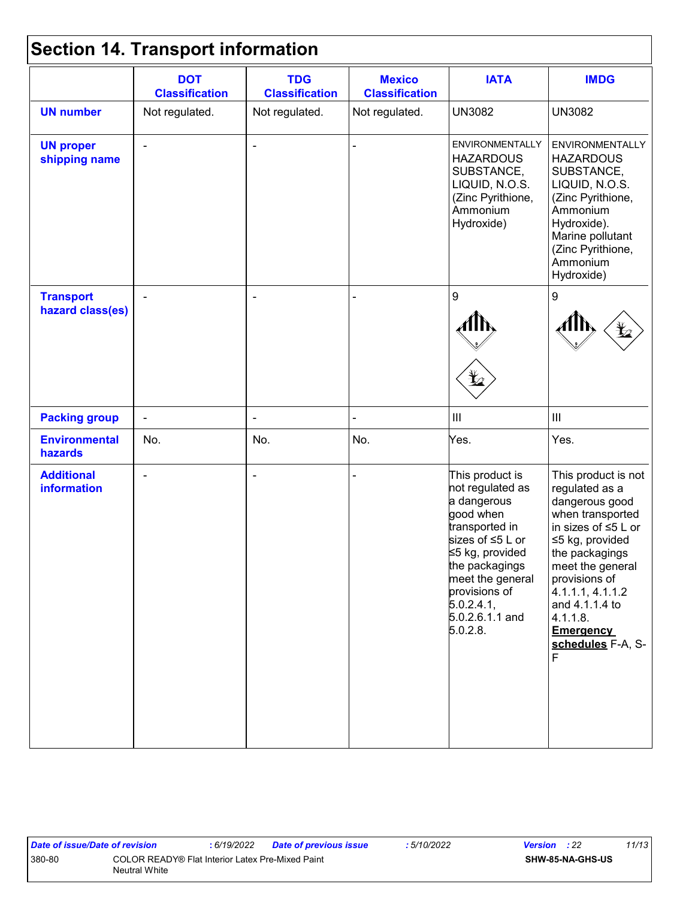# **Section 14. Transport information**

|                                      | <b>DOT</b><br><b>Classification</b> | <b>TDG</b><br><b>Classification</b> | <b>Mexico</b><br><b>Classification</b> | <b>IATA</b>                                                                                                                                                                                                                  | <b>IMDG</b>                                                                                                                                                                                                                                                                        |
|--------------------------------------|-------------------------------------|-------------------------------------|----------------------------------------|------------------------------------------------------------------------------------------------------------------------------------------------------------------------------------------------------------------------------|------------------------------------------------------------------------------------------------------------------------------------------------------------------------------------------------------------------------------------------------------------------------------------|
| <b>UN number</b>                     | Not regulated.                      | Not regulated.                      | Not regulated.                         | <b>UN3082</b>                                                                                                                                                                                                                | <b>UN3082</b>                                                                                                                                                                                                                                                                      |
| <b>UN proper</b><br>shipping name    | $\blacksquare$                      | $\blacksquare$                      |                                        | <b>ENVIRONMENTALLY</b><br><b>HAZARDOUS</b><br>SUBSTANCE,<br>LIQUID, N.O.S.<br>(Zinc Pyrithione,<br>Ammonium<br>Hydroxide)                                                                                                    | ENVIRONMENTALLY<br><b>HAZARDOUS</b><br>SUBSTANCE,<br>LIQUID, N.O.S.<br>(Zinc Pyrithione,<br>Ammonium<br>Hydroxide).<br>Marine pollutant<br>(Zinc Pyrithione,<br>Ammonium<br>Hydroxide)                                                                                             |
| <b>Transport</b><br>hazard class(es) |                                     | $\overline{\phantom{a}}$            |                                        | 9                                                                                                                                                                                                                            | 9                                                                                                                                                                                                                                                                                  |
| <b>Packing group</b>                 | $\blacksquare$                      | $\blacksquare$                      |                                        | $\ensuremath{\mathsf{III}}\xspace$                                                                                                                                                                                           | $\ensuremath{\mathsf{III}}\xspace$                                                                                                                                                                                                                                                 |
| <b>Environmental</b><br>hazards      | No.                                 | No.                                 | No.                                    | Yes.                                                                                                                                                                                                                         | Yes.                                                                                                                                                                                                                                                                               |
| <b>Additional</b><br>information     |                                     | ×,                                  |                                        | This product is<br>not regulated as<br>a dangerous<br>good when<br>transported in<br>sizes of ≤5 L or<br>≤5 kg, provided<br>the packagings<br>meet the general<br>provisions of<br>5.0.2.4.1,<br>5.0.2.6.1.1 and<br>5.0.2.8. | This product is not<br>regulated as a<br>dangerous good<br>when transported<br>in sizes of $\leq$ 5 L or<br>≤5 kg, provided<br>the packagings<br>meet the general<br>provisions of<br>4.1.1.1, 4.1.1.2<br>and 4.1.1.4 to<br>4.1.1.8.<br><b>Emergency</b><br>schedules F-A, S-<br>F |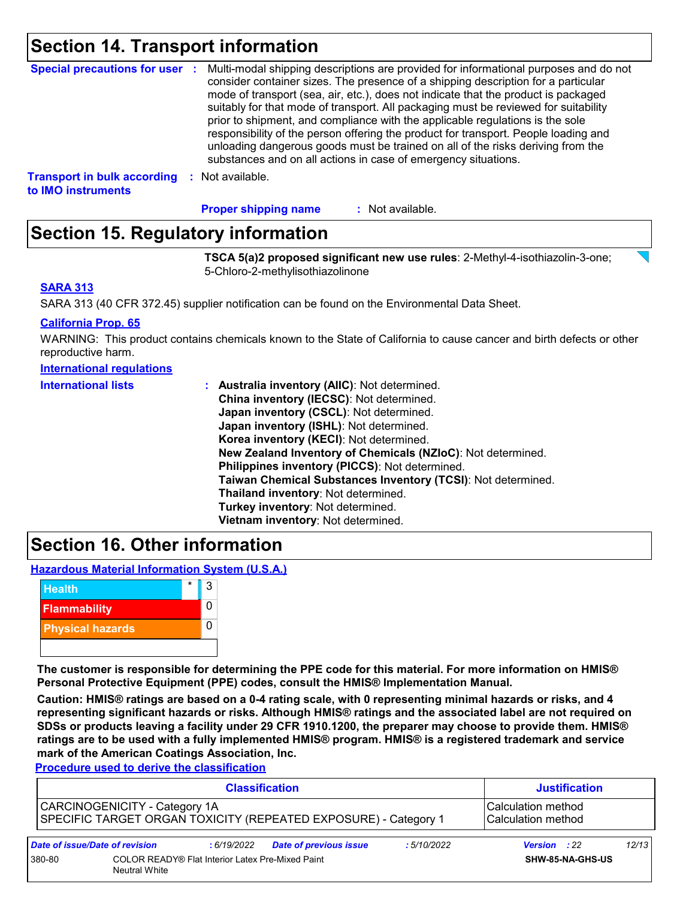### **Section 14. Transport information**

| Special precautions for user :                           | Multi-modal shipping descriptions are provided for informational purposes and do not<br>consider container sizes. The presence of a shipping description for a particular<br>mode of transport (sea, air, etc.), does not indicate that the product is packaged<br>suitably for that mode of transport. All packaging must be reviewed for suitability<br>prior to shipment, and compliance with the applicable regulations is the sole<br>responsibility of the person offering the product for transport. People loading and<br>unloading dangerous goods must be trained on all of the risks deriving from the<br>substances and on all actions in case of emergency situations. |
|----------------------------------------------------------|-------------------------------------------------------------------------------------------------------------------------------------------------------------------------------------------------------------------------------------------------------------------------------------------------------------------------------------------------------------------------------------------------------------------------------------------------------------------------------------------------------------------------------------------------------------------------------------------------------------------------------------------------------------------------------------|
| <b>Transport in bulk according</b><br>to IMO instruments | : Not available.                                                                                                                                                                                                                                                                                                                                                                                                                                                                                                                                                                                                                                                                    |

: Not available. **Proper shipping name :**

### **Section 15. Regulatory information**

**TSCA 5(a)2 proposed significant new use rules**: 2-Methyl-4-isothiazolin-3-one; 5-Chloro-2-methylisothiazolinone

#### **SARA 313**

SARA 313 (40 CFR 372.45) supplier notification can be found on the Environmental Data Sheet.

#### **California Prop. 65**

WARNING: This product contains chemicals known to the State of California to cause cancer and birth defects or other reproductive harm.

|  | International regulations |  |
|--|---------------------------|--|
|--|---------------------------|--|

| <b>International lists</b> | <b>Australia inventory (AllC): Not determined.</b>           |
|----------------------------|--------------------------------------------------------------|
|                            | China inventory (IECSC): Not determined.                     |
|                            | Japan inventory (CSCL): Not determined.                      |
|                            | Japan inventory (ISHL): Not determined.                      |
|                            | Korea inventory (KECI): Not determined.                      |
|                            | New Zealand Inventory of Chemicals (NZIoC): Not determined.  |
|                            | Philippines inventory (PICCS): Not determined.               |
|                            | Taiwan Chemical Substances Inventory (TCSI): Not determined. |
|                            | Thailand inventory: Not determined.                          |
|                            | Turkey inventory: Not determined.                            |
|                            | Vietnam inventory: Not determined.                           |

### **Section 16. Other information**

**Hazardous Material Information System (U.S.A.)**



**The customer is responsible for determining the PPE code for this material. For more information on HMIS® Personal Protective Equipment (PPE) codes, consult the HMIS® Implementation Manual.**

**Caution: HMIS® ratings are based on a 0-4 rating scale, with 0 representing minimal hazards or risks, and 4 representing significant hazards or risks. Although HMIS® ratings and the associated label are not required on SDSs or products leaving a facility under 29 CFR 1910.1200, the preparer may choose to provide them. HMIS® ratings are to be used with a fully implemented HMIS® program. HMIS® is a registered trademark and service mark of the American Coatings Association, Inc.**

**Procedure used to derive the classification**

| <b>Classification</b>          |                                                                                 |             | <b>Justification</b>                                            |             |                                          |       |
|--------------------------------|---------------------------------------------------------------------------------|-------------|-----------------------------------------------------------------|-------------|------------------------------------------|-------|
|                                | CARCINOGENICITY - Category 1A                                                   |             | SPECIFIC TARGET ORGAN TOXICITY (REPEATED EXPOSURE) - Category 1 |             | Calculation method<br>Calculation method |       |
| Date of issue/Date of revision |                                                                                 | : 6/19/2022 | <b>Date of previous issue</b>                                   | : 5/10/2022 | <b>Version</b> : 22                      | 12/13 |
| 380-80                         | <b>COLOR READY® Flat Interior Latex Pre-Mixed Paint</b><br><b>Neutral White</b> |             | SHW-85-NA-GHS-US                                                |             |                                          |       |